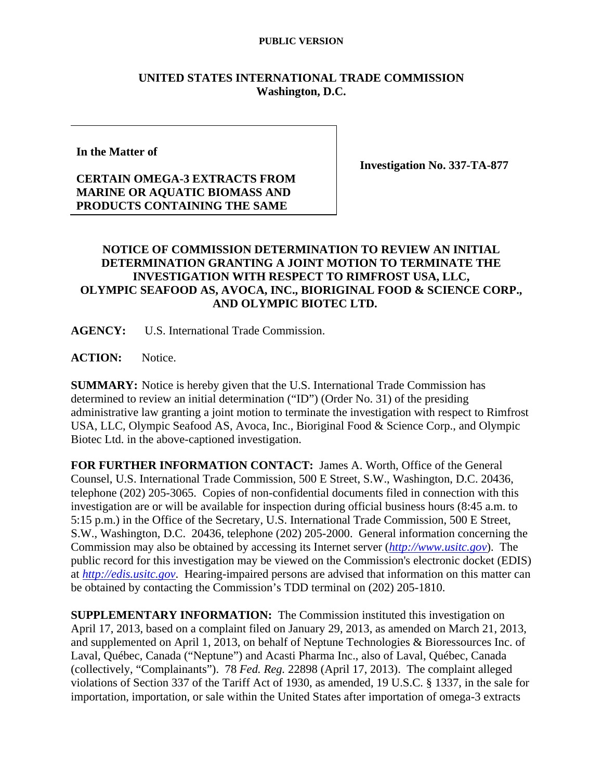#### **PUBLIC VERSION**

### **UNITED STATES INTERNATIONAL TRADE COMMISSION Washington, D.C.**

**In the Matter of** 

# **CERTAIN OMEGA-3 EXTRACTS FROM MARINE OR AQUATIC BIOMASS AND PRODUCTS CONTAINING THE SAME**

**Investigation No. 337-TA-877** 

## **NOTICE OF COMMISSION DETERMINATION TO REVIEW AN INITIAL DETERMINATION GRANTING A JOINT MOTION TO TERMINATE THE INVESTIGATION WITH RESPECT TO RIMFROST USA, LLC, OLYMPIC SEAFOOD AS, AVOCA, INC., BIORIGINAL FOOD & SCIENCE CORP., AND OLYMPIC BIOTEC LTD.**

**AGENCY:** U.S. International Trade Commission.

ACTION: Notice.

**SUMMARY:** Notice is hereby given that the U.S. International Trade Commission has determined to review an initial determination ("ID") (Order No. 31) of the presiding administrative law granting a joint motion to terminate the investigation with respect to Rimfrost USA, LLC, Olympic Seafood AS, Avoca, Inc., Bioriginal Food & Science Corp., and Olympic Biotec Ltd. in the above-captioned investigation.

**FOR FURTHER INFORMATION CONTACT:** James A. Worth, Office of the General Counsel, U.S. International Trade Commission, 500 E Street, S.W., Washington, D.C. 20436, telephone (202) 205-3065. Copies of non-confidential documents filed in connection with this investigation are or will be available for inspection during official business hours (8:45 a.m. to 5:15 p.m.) in the Office of the Secretary, U.S. International Trade Commission, 500 E Street, S.W., Washington, D.C. 20436, telephone (202) 205-2000. General information concerning the Commission may also be obtained by accessing its Internet server (*http://www.usitc.gov*). The public record for this investigation may be viewed on the Commission's electronic docket (EDIS) at *http://edis.usitc.gov*. Hearing-impaired persons are advised that information on this matter can be obtained by contacting the Commission's TDD terminal on (202) 205-1810.

**SUPPLEMENTARY INFORMATION:** The Commission instituted this investigation on April 17, 2013, based on a complaint filed on January 29, 2013, as amended on March 21, 2013, and supplemented on April 1, 2013, on behalf of Neptune Technologies & Bioressources Inc. of Laval, Québec, Canada ("Neptune") and Acasti Pharma Inc., also of Laval, Québec, Canada (collectively, "Complainants"). 78 *Fed. Reg.* 22898 (April 17, 2013). The complaint alleged violations of Section 337 of the Tariff Act of 1930, as amended, 19 U.S.C. § 1337, in the sale for importation, importation, or sale within the United States after importation of omega-3 extracts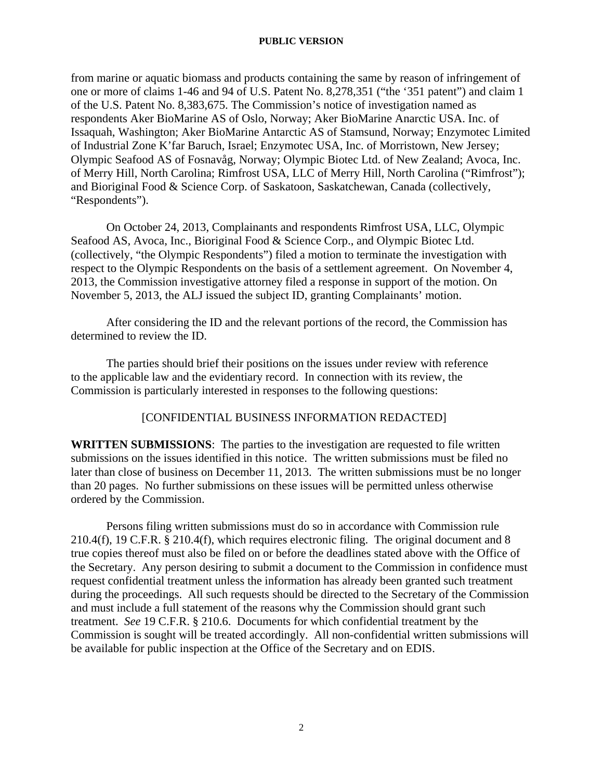#### **PUBLIC VERSION**

from marine or aquatic biomass and products containing the same by reason of infringement of one or more of claims 1-46 and 94 of U.S. Patent No. 8,278,351 ("the '351 patent") and claim 1 of the U.S. Patent No. 8,383,675. The Commission's notice of investigation named as respondents Aker BioMarine AS of Oslo, Norway; Aker BioMarine Anarctic USA. Inc. of Issaquah, Washington; Aker BioMarine Antarctic AS of Stamsund, Norway; Enzymotec Limited of Industrial Zone K'far Baruch, Israel; Enzymotec USA, Inc. of Morristown, New Jersey; Olympic Seafood AS of Fosnavåg, Norway; Olympic Biotec Ltd. of New Zealand; Avoca, Inc. of Merry Hill, North Carolina; Rimfrost USA, LLC of Merry Hill, North Carolina ("Rimfrost"); and Bioriginal Food & Science Corp. of Saskatoon, Saskatchewan, Canada (collectively, "Respondents").

On October 24, 2013, Complainants and respondents Rimfrost USA, LLC, Olympic Seafood AS, Avoca, Inc., Bioriginal Food & Science Corp., and Olympic Biotec Ltd. (collectively, "the Olympic Respondents") filed a motion to terminate the investigation with respect to the Olympic Respondents on the basis of a settlement agreement. On November 4, 2013, the Commission investigative attorney filed a response in support of the motion. On November 5, 2013, the ALJ issued the subject ID, granting Complainants' motion.

After considering the ID and the relevant portions of the record, the Commission has determined to review the ID.

 The parties should brief their positions on the issues under review with reference to the applicable law and the evidentiary record. In connection with its review, the Commission is particularly interested in responses to the following questions:

### [CONFIDENTIAL BUSINESS INFORMATION REDACTED]

**WRITTEN SUBMISSIONS**:The parties to the investigation are requested to file written submissions on the issues identified in this notice. The written submissions must be filed no later than close of business on December 11, 2013. The written submissions must be no longer than 20 pages. No further submissions on these issues will be permitted unless otherwise ordered by the Commission.

Persons filing written submissions must do so in accordance with Commission rule 210.4(f), 19 C.F.R. § 210.4(f), which requires electronic filing. The original document and 8 true copies thereof must also be filed on or before the deadlines stated above with the Office of the Secretary. Any person desiring to submit a document to the Commission in confidence must request confidential treatment unless the information has already been granted such treatment during the proceedings. All such requests should be directed to the Secretary of the Commission and must include a full statement of the reasons why the Commission should grant such treatment. *See* 19 C.F.R. § 210.6. Documents for which confidential treatment by the Commission is sought will be treated accordingly. All non-confidential written submissions will be available for public inspection at the Office of the Secretary and on EDIS.